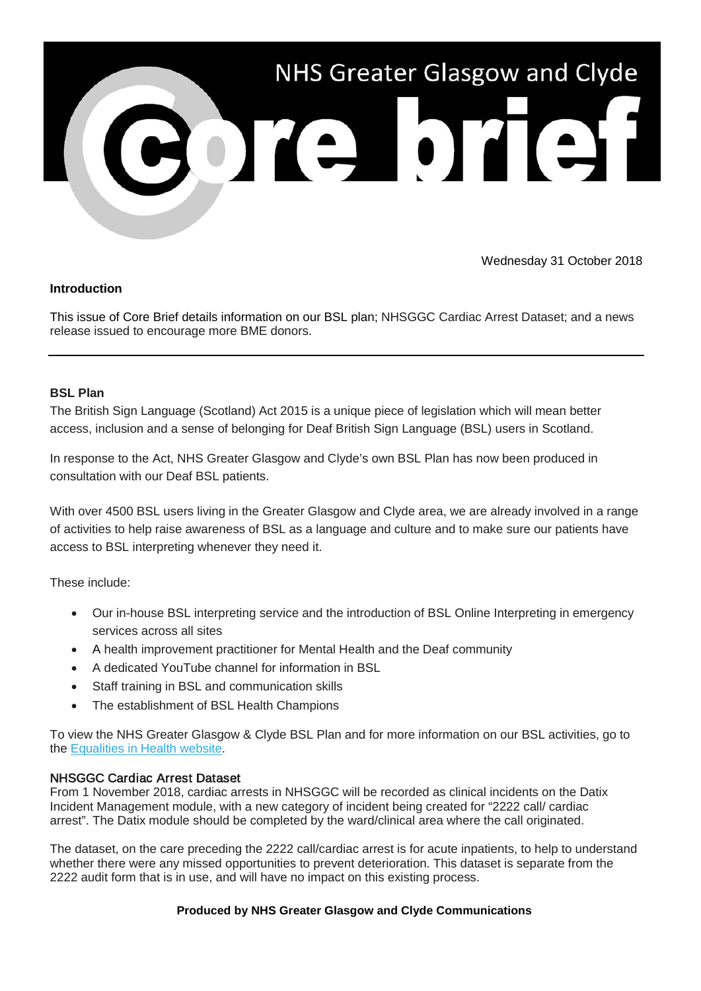

Wednesday 31 October 2018

#### **Introduction**

This issue of Core Brief details information on our BSL plan; NHSGGC Cardiac Arrest Dataset; and a news release issued to encourage more BME donors.

### **BSL Plan**

The British Sign Language (Scotland) Act 2015 is a unique piece of legislation which will mean better access, inclusion and a sense of belonging for Deaf British Sign Language (BSL) users in Scotland.

In response to the Act, NHS Greater Glasgow and Clyde's own BSL Plan has now been produced in consultation with our Deaf BSL patients.

With over 4500 BSL users living in the Greater Glasgow and Clyde area, we are already involved in a range of activities to help raise awareness of BSL as a language and culture and to make sure our patients have access to BSL interpreting whenever they need it.

These include:

- Our in-house BSL interpreting service and the introduction of BSL Online Interpreting in emergency services across all sites
- A health improvement practitioner for Mental Health and the Deaf community
- A dedicated YouTube channel for information in BSL
- Staff training in BSL and communication skills
- The establishment of BSL Health Champions

To view the NHS Greater Glasgow & Clyde BSL Plan and for more information on our BSL activities, go to the [Equalities in Health website.](https://nhsggc.us12.list-manage.com/track/click?u=0f385b5aea37eaf0213bd19fb&id=69b8c79943&e=5af5e1832c)

# NHSGGC Cardiac Arrest Dataset

From 1 November 2018, cardiac arrests in NHSGGC will be recorded as clinical incidents on the Datix Incident Management module, with a new category of incident being created for "2222 call/ cardiac arrest". The Datix module should be completed by the ward/clinical area where the call originated.

The dataset, on the care preceding the 2222 call/cardiac arrest is for acute inpatients, to help to understand whether there were any missed opportunities to prevent deterioration. This dataset is separate from the 2222 audit form that is in use, and will have no impact on this existing process.

# **Produced by NHS Greater Glasgow and Clyde Communications**